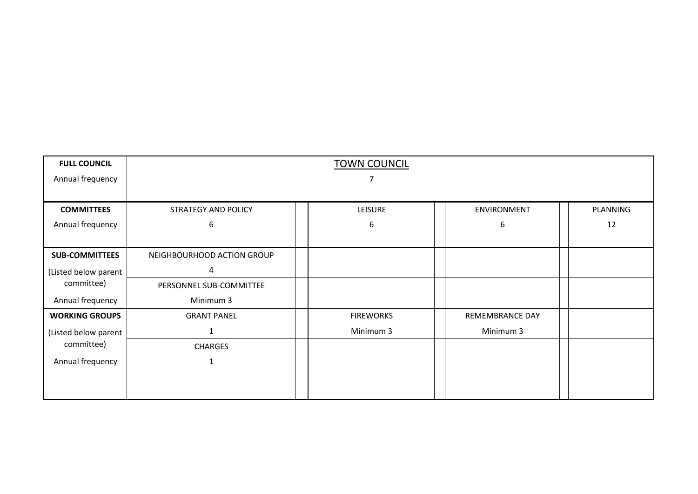| <b>FULL COUNCIL</b>   | <b>TOWN COUNCIL</b>        |                  |                        |          |
|-----------------------|----------------------------|------------------|------------------------|----------|
| Annual frequency      | 7                          |                  |                        |          |
|                       |                            |                  |                        |          |
| <b>COMMITTEES</b>     | STRATEGY AND POLICY        | <b>LEISURE</b>   | ENVIRONMENT            | PLANNING |
| Annual frequency      | 6                          | 6                | 6                      | 12       |
|                       |                            |                  |                        |          |
| <b>SUB-COMMITTEES</b> | NEIGHBOURHOOD ACTION GROUP |                  |                        |          |
| (Listed below parent  | 4                          |                  |                        |          |
| committee)            | PERSONNEL SUB-COMMITTEE    |                  |                        |          |
| Annual frequency      | Minimum 3                  |                  |                        |          |
| <b>WORKING GROUPS</b> | <b>GRANT PANEL</b>         | <b>FIREWORKS</b> | <b>REMEMBRANCE DAY</b> |          |
| (Listed below parent  | $\mathbf 1$                | Minimum 3        | Minimum 3              |          |
| committee)            | <b>CHARGES</b>             |                  |                        |          |
| Annual frequency      | $\mathbf{1}$               |                  |                        |          |
|                       |                            |                  |                        |          |
|                       |                            |                  |                        |          |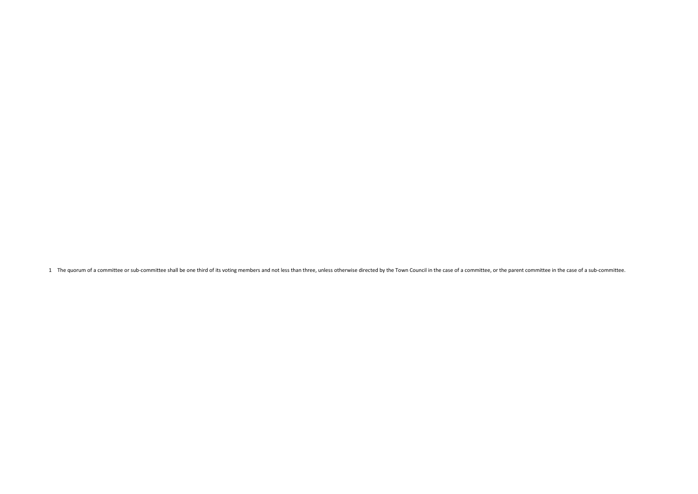1 The quorum of a committee or sub-committee shall be one third of its voting members and not less than three, unless otherwise directed by the Town Council in the case of a committee, or the parent committee in the case o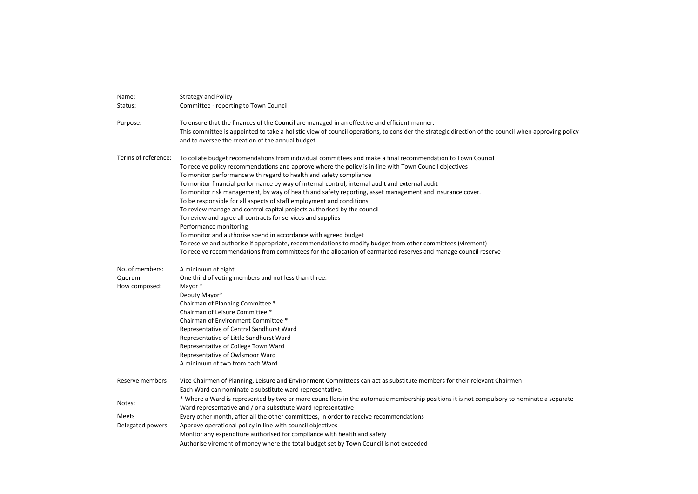| Name:               | <b>Strategy and Policy</b>                                                                                                                                                                               |
|---------------------|----------------------------------------------------------------------------------------------------------------------------------------------------------------------------------------------------------|
| Status:             | Committee - reporting to Town Council                                                                                                                                                                    |
| Purpose:            | To ensure that the finances of the Council are managed in an effective and efficient manner.                                                                                                             |
|                     | This committee is appointed to take a holistic view of council operations, to consider the strategic direction of the council when approving policy<br>and to oversee the creation of the annual budget. |
| Terms of reference: | To collate budget recomendations from individual committees and make a final recommendation to Town Council                                                                                              |
|                     | To receive policy recommendations and approve where the policy is in line with Town Council objectives                                                                                                   |
|                     | To monitor performance with regard to health and safety compliance                                                                                                                                       |
|                     | To monitor financial performance by way of internal control, internal audit and external audit                                                                                                           |
|                     | To monitor risk management, by way of health and safety reporting, asset management and insurance cover.                                                                                                 |
|                     | To be responsible for all aspects of staff employment and conditions<br>To review manage and control capital projects authorised by the council                                                          |
|                     | To review and agree all contracts for services and supplies                                                                                                                                              |
|                     | Performance monitoring                                                                                                                                                                                   |
|                     | To monitor and authorise spend in accordance with agreed budget                                                                                                                                          |
|                     | To receive and authorise if appropriate, recommendations to modify budget from other committees (virement)                                                                                               |
|                     | To receive recommendations from committees for the allocation of earmarked reserves and manage council reserve                                                                                           |
| No. of members:     | A minimum of eight                                                                                                                                                                                       |
| Quorum              | One third of voting members and not less than three.                                                                                                                                                     |
| How composed:       | Mayor *                                                                                                                                                                                                  |
|                     | Deputy Mayor*                                                                                                                                                                                            |
|                     | Chairman of Planning Committee *                                                                                                                                                                         |
|                     | Chairman of Leisure Committee *                                                                                                                                                                          |
|                     | Chairman of Environment Committee *                                                                                                                                                                      |
|                     | Representative of Central Sandhurst Ward<br>Representative of Little Sandhurst Ward                                                                                                                      |
|                     | Representative of College Town Ward                                                                                                                                                                      |
|                     | Representative of Owlsmoor Ward                                                                                                                                                                          |
|                     | A minimum of two from each Ward                                                                                                                                                                          |
| Reserve members     | Vice Chairmen of Planning, Leisure and Environment Committees can act as substitute members for their relevant Chairmen                                                                                  |
|                     | Each Ward can nominate a substitute ward representative.                                                                                                                                                 |
|                     | * Where a Ward is represented by two or more councillors in the automatic membership positions it is not compulsory to nominate a separate                                                               |
| Notes:              | Ward representative and / or a substitute Ward representative                                                                                                                                            |
| Meets               | Every other month, after all the other committees, in order to receive recommendations                                                                                                                   |
| Delegated powers    | Approve operational policy in line with council objectives                                                                                                                                               |
|                     | Monitor any expenditure authorised for compliance with health and safety                                                                                                                                 |
|                     | Authorise virement of money where the total budget set by Town Council is not exceeded                                                                                                                   |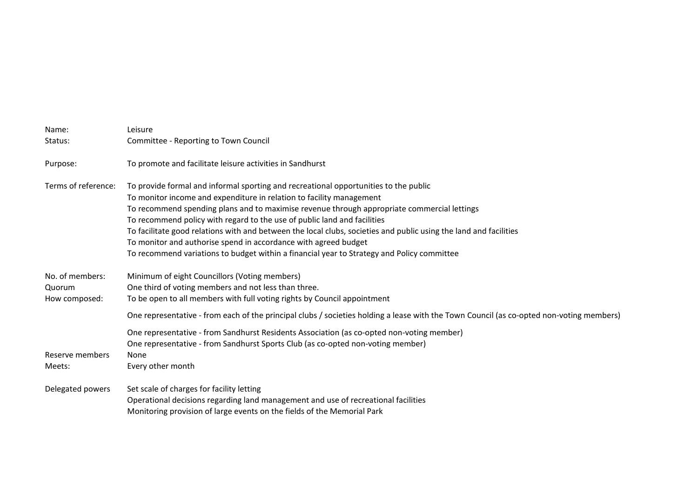| Name:                     | Leisure                                                                                                                                                                                                                                                     |
|---------------------------|-------------------------------------------------------------------------------------------------------------------------------------------------------------------------------------------------------------------------------------------------------------|
| Status:                   | Committee - Reporting to Town Council                                                                                                                                                                                                                       |
| Purpose:                  | To promote and facilitate leisure activities in Sandhurst                                                                                                                                                                                                   |
| Terms of reference:       | To provide formal and informal sporting and recreational opportunities to the public<br>To monitor income and expenditure in relation to facility management<br>To recommend spending plans and to maximise revenue through appropriate commercial lettings |
|                           | To recommend policy with regard to the use of public land and facilities                                                                                                                                                                                    |
|                           | To facilitate good relations with and between the local clubs, societies and public using the land and facilities                                                                                                                                           |
|                           | To monitor and authorise spend in accordance with agreed budget                                                                                                                                                                                             |
|                           | To recommend variations to budget within a financial year to Strategy and Policy committee                                                                                                                                                                  |
| No. of members:           | Minimum of eight Councillors (Voting members)                                                                                                                                                                                                               |
| Quorum                    | One third of voting members and not less than three.                                                                                                                                                                                                        |
| How composed:             | To be open to all members with full voting rights by Council appointment                                                                                                                                                                                    |
|                           | One representative - from each of the principal clubs / societies holding a lease with the Town Council (as co-opted non-voting members)                                                                                                                    |
|                           | One representative - from Sandhurst Residents Association (as co-opted non-voting member)<br>One representative - from Sandhurst Sports Club (as co-opted non-voting member)                                                                                |
| Reserve members<br>Meets: | None<br>Every other month                                                                                                                                                                                                                                   |
| Delegated powers          | Set scale of charges for facility letting                                                                                                                                                                                                                   |
|                           | Operational decisions regarding land management and use of recreational facilities                                                                                                                                                                          |
|                           | Monitoring provision of large events on the fields of the Memorial Park                                                                                                                                                                                     |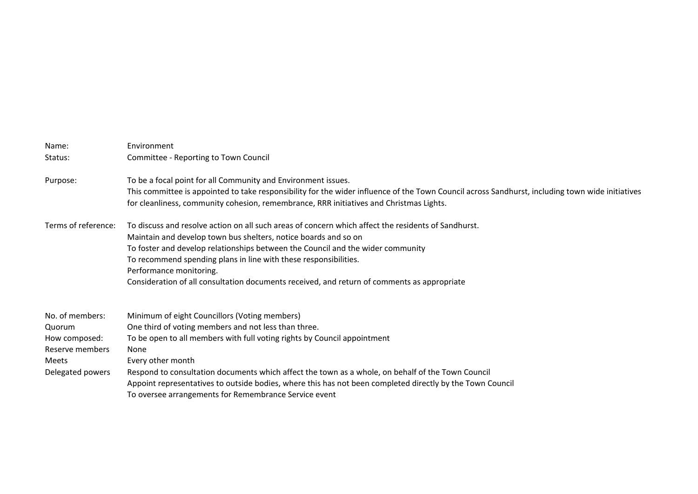| Name:<br>Status:                                                                           | Environment<br>Committee - Reporting to Town Council                                                                                                                                                                                                                                                                                                                                                                                                                                      |
|--------------------------------------------------------------------------------------------|-------------------------------------------------------------------------------------------------------------------------------------------------------------------------------------------------------------------------------------------------------------------------------------------------------------------------------------------------------------------------------------------------------------------------------------------------------------------------------------------|
| Purpose:                                                                                   | To be a focal point for all Community and Environment issues.<br>This committee is appointed to take responsibility for the wider influence of the Town Council across Sandhurst, including town wide initiatives<br>for cleanliness, community cohesion, remembrance, RRR initiatives and Christmas Lights.                                                                                                                                                                              |
| Terms of reference:                                                                        | To discuss and resolve action on all such areas of concern which affect the residents of Sandhurst.<br>Maintain and develop town bus shelters, notice boards and so on<br>To foster and develop relationships between the Council and the wider community<br>To recommend spending plans in line with these responsibilities.<br>Performance monitoring.<br>Consideration of all consultation documents received, and return of comments as appropriate                                   |
| No. of members:<br>Quorum<br>How composed:<br>Reserve members<br>Meets<br>Delegated powers | Minimum of eight Councillors (Voting members)<br>One third of voting members and not less than three.<br>To be open to all members with full voting rights by Council appointment<br>None<br>Every other month<br>Respond to consultation documents which affect the town as a whole, on behalf of the Town Council<br>Appoint representatives to outside bodies, where this has not been completed directly by the Town Council<br>To oversee arrangements for Remembrance Service event |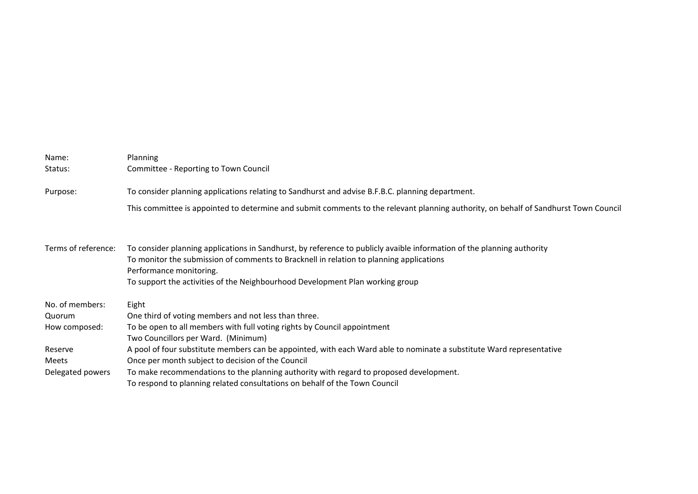| Name:<br>Status:    | <b>Planning</b><br>Committee - Reporting to Town Council                                                                                                                                                                                                                                                                      |
|---------------------|-------------------------------------------------------------------------------------------------------------------------------------------------------------------------------------------------------------------------------------------------------------------------------------------------------------------------------|
| Purpose:            | To consider planning applications relating to Sandhurst and advise B.F.B.C. planning department.                                                                                                                                                                                                                              |
|                     | This committee is appointed to determine and submit comments to the relevant planning authority, on behalf of Sandhurst Town Council                                                                                                                                                                                          |
| Terms of reference: | To consider planning applications in Sandhurst, by reference to publicly avaible information of the planning authority<br>To monitor the submission of comments to Bracknell in relation to planning applications<br>Performance monitoring.<br>To support the activities of the Neighbourhood Development Plan working group |
| No. of members:     | Eight                                                                                                                                                                                                                                                                                                                         |
| Quorum              | One third of voting members and not less than three.                                                                                                                                                                                                                                                                          |
| How composed:       | To be open to all members with full voting rights by Council appointment                                                                                                                                                                                                                                                      |
|                     | Two Councillors per Ward. (Minimum)                                                                                                                                                                                                                                                                                           |
| Reserve             | A pool of four substitute members can be appointed, with each Ward able to nominate a substitute Ward representative                                                                                                                                                                                                          |
| Meets               | Once per month subject to decision of the Council                                                                                                                                                                                                                                                                             |
| Delegated powers    | To make recommendations to the planning authority with regard to proposed development.                                                                                                                                                                                                                                        |
|                     | To respond to planning related consultations on behalf of the Town Council                                                                                                                                                                                                                                                    |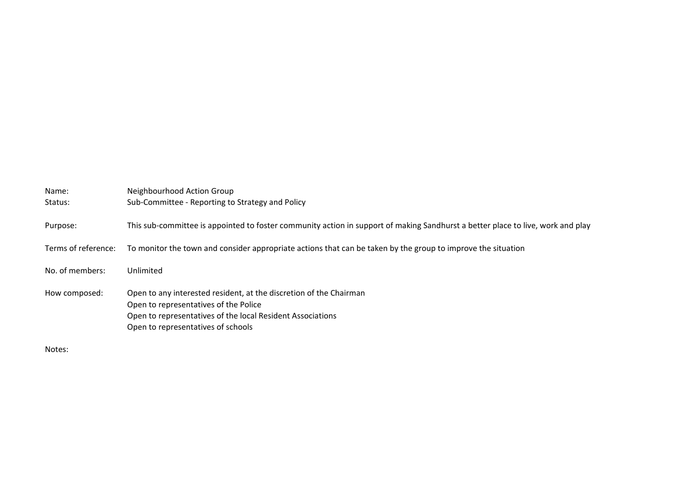| Name:<br>Status:    | Neighbourhood Action Group<br>Sub-Committee - Reporting to Strategy and Policy                                                                                                                                  |
|---------------------|-----------------------------------------------------------------------------------------------------------------------------------------------------------------------------------------------------------------|
| Purpose:            | This sub-committee is appointed to foster community action in support of making Sandhurst a better place to live, work and play                                                                                 |
| Terms of reference: | To monitor the town and consider appropriate actions that can be taken by the group to improve the situation                                                                                                    |
| No. of members:     | Unlimited                                                                                                                                                                                                       |
| How composed:       | Open to any interested resident, at the discretion of the Chairman<br>Open to representatives of the Police<br>Open to representatives of the local Resident Associations<br>Open to representatives of schools |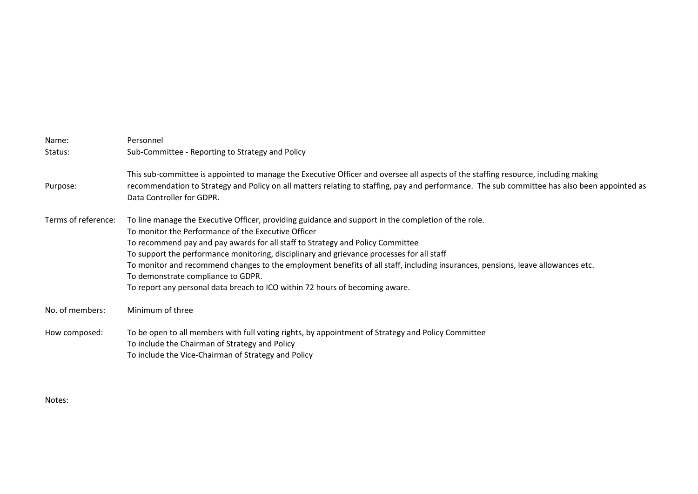| Name:<br>Status:    | Personnel<br>Sub-Committee - Reporting to Strategy and Policy                                                                                                                                                                                                                                                                                                                                                                                                                                                                                                                                      |
|---------------------|----------------------------------------------------------------------------------------------------------------------------------------------------------------------------------------------------------------------------------------------------------------------------------------------------------------------------------------------------------------------------------------------------------------------------------------------------------------------------------------------------------------------------------------------------------------------------------------------------|
| Purpose:            | This sub-committee is appointed to manage the Executive Officer and oversee all aspects of the staffing resource, including making<br>recommendation to Strategy and Policy on all matters relating to staffing, pay and performance. The sub committee has also been appointed as<br>Data Controller for GDPR.                                                                                                                                                                                                                                                                                    |
| Terms of reference: | To line manage the Executive Officer, providing guidance and support in the completion of the role.<br>To monitor the Performance of the Executive Officer<br>To recommend pay and pay awards for all staff to Strategy and Policy Committee<br>To support the performance monitoring, disciplinary and grievance processes for all staff<br>To monitor and recommend changes to the employment benefits of all staff, including insurances, pensions, leave allowances etc.<br>To demonstrate compliance to GDPR.<br>To report any personal data breach to ICO within 72 hours of becoming aware. |
| No. of members:     | Minimum of three                                                                                                                                                                                                                                                                                                                                                                                                                                                                                                                                                                                   |
| How composed:       | To be open to all members with full voting rights, by appointment of Strategy and Policy Committee<br>To include the Chairman of Strategy and Policy<br>To include the Vice-Chairman of Strategy and Policy                                                                                                                                                                                                                                                                                                                                                                                        |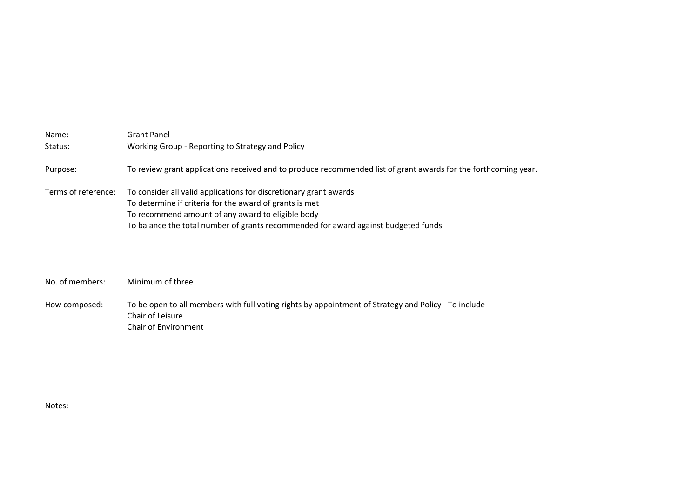| Name:               | Grant Panel                                                                                                                                                                                                                                                             |
|---------------------|-------------------------------------------------------------------------------------------------------------------------------------------------------------------------------------------------------------------------------------------------------------------------|
| Status:             | Working Group - Reporting to Strategy and Policy                                                                                                                                                                                                                        |
| Purpose:            | To review grant applications received and to produce recommended list of grant awards for the forthcoming year.                                                                                                                                                         |
| Terms of reference: | To consider all valid applications for discretionary grant awards<br>To determine if criteria for the award of grants is met<br>To recommend amount of any award to eligible body<br>To balance the total number of grants recommended for award against budgeted funds |

## No. of members: Minimum of three

How composed: To be open to all members with full voting rights by appointment of Strategy and Policy - To include Chair of Leisure Chair of Environment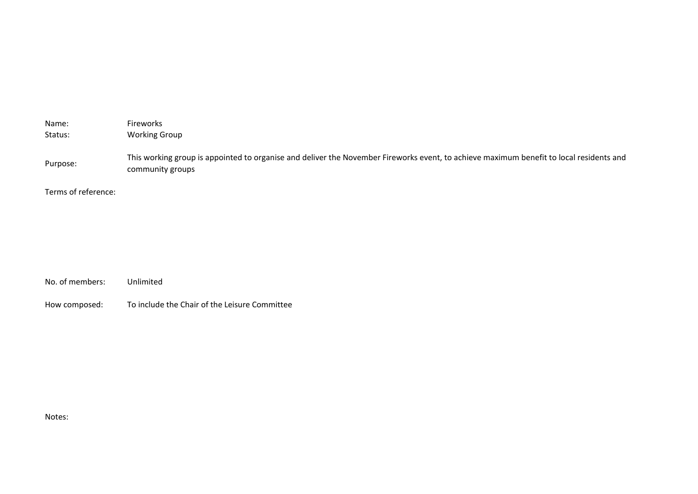| Name:               | Fireworks                                                                                                                                                   |
|---------------------|-------------------------------------------------------------------------------------------------------------------------------------------------------------|
| Status:             | <b>Working Group</b>                                                                                                                                        |
| Purpose:            | This working group is appointed to organise and deliver the November Fireworks event, to achieve maximum benefit to local residents and<br>community groups |
| Terms of reference: |                                                                                                                                                             |
|                     |                                                                                                                                                             |
|                     |                                                                                                                                                             |

How composed: To include the Chair of the Leisure Committee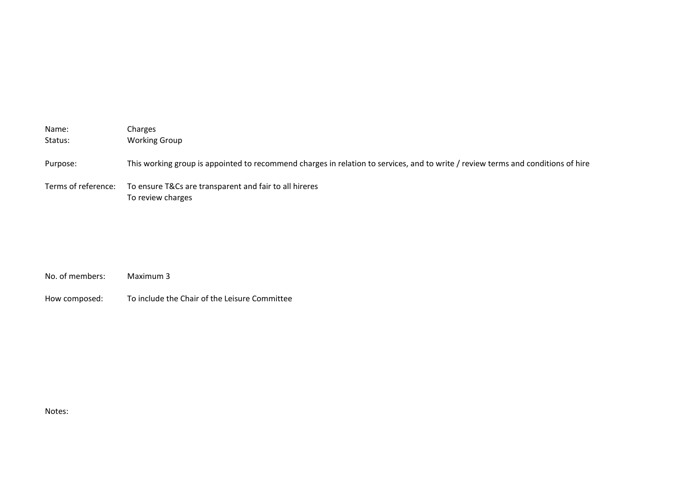| Name:<br>Status:    | Charges<br><b>Working Group</b>                                                                                                  |
|---------------------|----------------------------------------------------------------------------------------------------------------------------------|
| Purpose:            | This working group is appointed to recommend charges in relation to services, and to write / review terms and conditions of hire |
| Terms of reference: | To ensure T&Cs are transparent and fair to all hireres<br>To review charges                                                      |

| No. of members: | Maximum 3                                     |
|-----------------|-----------------------------------------------|
| How composed:   | To include the Chair of the Leisure Committee |